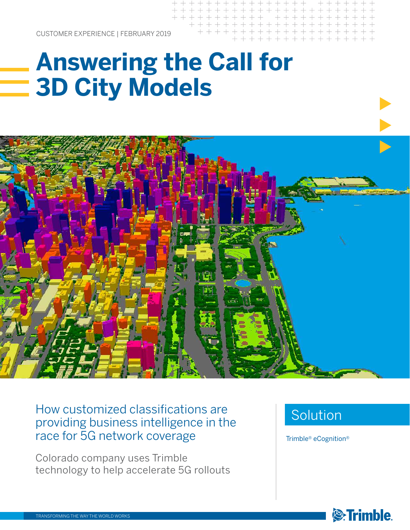CUSTOMER EXPERIENCE | FEBRUARY 2019

# **Answering the Call for 3D City Models**



### How customized classifications are providing business intelligence in the race for 5G network coverage

Colorado company uses Trimble technology to help accelerate 5G rollouts

### Solution

Trimble® eCognition®

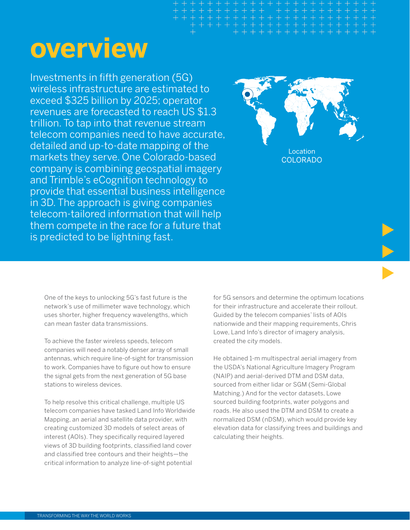# **overview**

Investments in fifth generation (5G) wireless infrastructure are estimated to exceed \$325 billion by 2025; operator revenues are forecasted to reach US \$1.3 trillion. To tap into that revenue stream telecom companies need to have accurate, detailed and up-to-date mapping of the markets they serve. One Colorado-based company is combining geospatial imagery and Trimble's eCognition technology to provide that essential business intelligence in 3D. The approach is giving companies telecom-tailored information that will help them compete in the race for a future that is predicted to be lightning fast.



Location COLORADO

One of the keys to unlocking 5G's fast future is the network's use of millimeter wave technology, which uses shorter, higher frequency wavelengths, which can mean faster data transmissions.

To achieve the faster wireless speeds, telecom companies will need a notably denser array of small antennas, which require line-of-sight for transmission to work. Companies have to figure out how to ensure the signal gets from the next generation of 5G base stations to wireless devices.

To help resolve this critical challenge, multiple US telecom companies have tasked Land Info Worldwide Mapping, an aerial and satellite data provider, with creating customized 3D models of select areas of interest (AOIs). They specifically required layered views of 3D building footprints, classified land cover and classified tree contours and their heights—the critical information to analyze line-of-sight potential

for 5G sensors and determine the optimum locations for their infrastructure and accelerate their rollout. Guided by the telecom companies' lists of AOIs nationwide and their mapping requirements, Chris Lowe, Land Info's director of imagery analysis, created the city models.

He obtained 1-m multispectral aerial imagery from the USDA's National Agriculture Imagery Program (NAIP) and aerial-derived DTM and DSM data, sourced from either lidar or SGM (Semi-Global Matching.) And for the vector datasets, Lowe sourced building footprints, water polygons and roads. He also used the DTM and DSM to create a normalized DSM (nDSM), which would provide key elevation data for classifying trees and buildings and calculating their heights.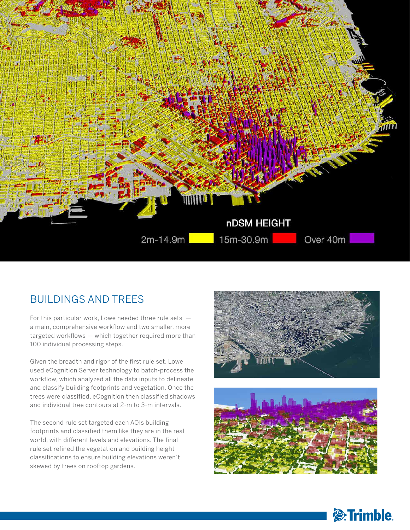

#### BUILDINGS AND TREES

For this particular work, Lowe needed three rule sets  $$ a main, comprehensive workflow and two smaller, more targeted workflows — which together required more than 100 individual processing steps.

Given the breadth and rigor of the first rule set, Lowe used eCognition Server technology to batch-process the workflow, which analyzed all the data inputs to delineate and classify building footprints and vegetation. Once the trees were classified, eCognition then classified shadows and individual tree contours at 2-m to 3-m intervals.

The second rule set targeted each AOIs building footprints and classified them like they are in the real world, with different levels and elevations. The final rule set refined the vegetation and building height classifications to ensure building elevations weren't skewed by trees on rooftop gardens.